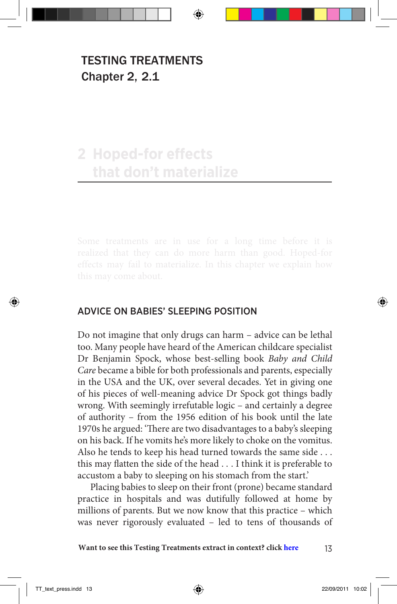### TESTING TREATMENTS Chapter 2, 2.1

## **2 Hoped-for effects that don't materialize**

#### ADVICE ON BABIES' SLEEPING POSITION

Do not imagine that only drugs can harm – advice can be lethal too. Many people have heard of the American childcare specialist Dr Benjamin Spock, whose best-selling book *Baby and Child Care* became a bible for both professionals and parents, especially in the USA and the UK, over several decades. Yet in giving one of his pieces of well-meaning advice Dr Spock got things badly wrong. With seemingly irrefutable logic – and certainly a degree of authority – from the 1956 edition of his book until the late 1970s he argued: 'There are two disadvantages to a baby's sleeping on his back. If he vomits he's more likely to choke on the vomitus. Also he tends to keep his head turned towards the same side . . . this may flatten the side of the head . . . I think it is preferable to accustom a baby to sleeping on his stomach from the start.'

Placing babies to sleep on their front (prone) became standard practice in hospitals and was dutifully followed at home by millions of parents. But we now know that this practice – which was never rigorously evaluated – led to tens of thousands of